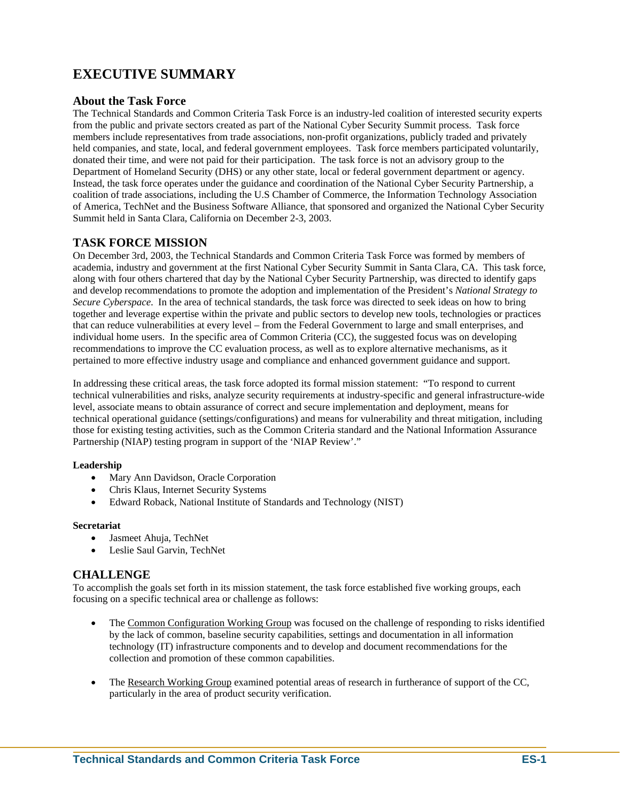# **EXECUTIVE SUMMARY**

### **About the Task Force**

The Technical Standards and Common Criteria Task Force is an industry-led coalition of interested security experts from the public and private sectors created as part of the National Cyber Security Summit process. Task force members include representatives from trade associations, non-profit organizations, publicly traded and privately held companies, and state, local, and federal government employees. Task force members participated voluntarily, donated their time, and were not paid for their participation. The task force is not an advisory group to the Department of Homeland Security (DHS) or any other state, local or federal government department or agency. Instead, the task force operates under the guidance and coordination of the National Cyber Security Partnership, a coalition of trade associations, including the U.S Chamber of Commerce, the Information Technology Association of America, TechNet and the Business Software Alliance, that sponsored and organized the National Cyber Security Summit held in Santa Clara, California on December 2-3, 2003.

### **TASK FORCE MISSION**

On December 3rd, 2003, the Technical Standards and Common Criteria Task Force was formed by members of academia, industry and government at the first National Cyber Security Summit in Santa Clara, CA. This task force, along with four others chartered that day by the National Cyber Security Partnership, was directed to identify gaps and develop recommendations to promote the adoption and implementation of the President's *National Strategy to Secure Cyberspace*. In the area of technical standards, the task force was directed to seek ideas on how to bring together and leverage expertise within the private and public sectors to develop new tools, technologies or practices that can reduce vulnerabilities at every level – from the Federal Government to large and small enterprises, and individual home users. In the specific area of Common Criteria (CC), the suggested focus was on developing recommendations to improve the CC evaluation process, as well as to explore alternative mechanisms, as it pertained to more effective industry usage and compliance and enhanced government guidance and support.

In addressing these critical areas, the task force adopted its formal mission statement: "To respond to current technical vulnerabilities and risks, analyze security requirements at industry-specific and general infrastructure-wide level, associate means to obtain assurance of correct and secure implementation and deployment, means for technical operational guidance (settings/configurations) and means for vulnerability and threat mitigation, including those for existing testing activities, such as the Common Criteria standard and the National Information Assurance Partnership (NIAP) testing program in support of the 'NIAP Review'."

### **Leadership**

- Mary Ann Davidson, Oracle Corporation
- Chris Klaus, Internet Security Systems
- Edward Roback, National Institute of Standards and Technology (NIST)

#### **Secretariat**

- Jasmeet Ahuja, TechNet
- Leslie Saul Garvin, TechNet

### **CHALLENGE**

To accomplish the goals set forth in its mission statement, the task force established five working groups, each focusing on a specific technical area or challenge as follows:

- The Common Configuration Working Group was focused on the challenge of responding to risks identified by the lack of common, baseline security capabilities, settings and documentation in all information technology (IT) infrastructure components and to develop and document recommendations for the collection and promotion of these common capabilities.
- The Research Working Group examined potential areas of research in furtherance of support of the CC, particularly in the area of product security verification.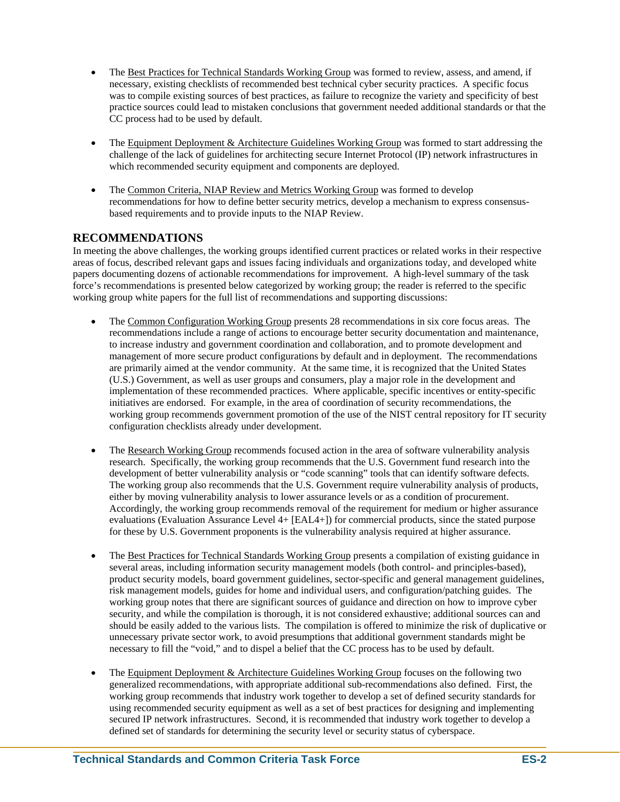- The Best Practices for Technical Standards Working Group was formed to review, assess, and amend, if necessary, existing checklists of recommended best technical cyber security practices. A specific focus was to compile existing sources of best practices, as failure to recognize the variety and specificity of best practice sources could lead to mistaken conclusions that government needed additional standards or that the CC process had to be used by default.
- The Equipment Deployment & Architecture Guidelines Working Group was formed to start addressing the challenge of the lack of guidelines for architecting secure Internet Protocol (IP) network infrastructures in which recommended security equipment and components are deployed.
- The Common Criteria, NIAP Review and Metrics Working Group was formed to develop recommendations for how to define better security metrics, develop a mechanism to express consensusbased requirements and to provide inputs to the NIAP Review.

## **RECOMMENDATIONS**

In meeting the above challenges, the working groups identified current practices or related works in their respective areas of focus, described relevant gaps and issues facing individuals and organizations today, and developed white papers documenting dozens of actionable recommendations for improvement. A high-level summary of the task force's recommendations is presented below categorized by working group; the reader is referred to the specific working group white papers for the full list of recommendations and supporting discussions:

- The Common Configuration Working Group presents 28 recommendations in six core focus areas. The recommendations include a range of actions to encourage better security documentation and maintenance, to increase industry and government coordination and collaboration, and to promote development and management of more secure product configurations by default and in deployment. The recommendations are primarily aimed at the vendor community. At the same time, it is recognized that the United States (U.S.) Government, as well as user groups and consumers, play a major role in the development and implementation of these recommended practices. Where applicable, specific incentives or entity-specific initiatives are endorsed. For example, in the area of coordination of security recommendations, the working group recommends government promotion of the use of the NIST central repository for IT security configuration checklists already under development.
- The Research Working Group recommends focused action in the area of software vulnerability analysis research. Specifically, the working group recommends that the U.S. Government fund research into the development of better vulnerability analysis or "code scanning" tools that can identify software defects. The working group also recommends that the U.S. Government require vulnerability analysis of products, either by moving vulnerability analysis to lower assurance levels or as a condition of procurement. Accordingly, the working group recommends removal of the requirement for medium or higher assurance evaluations (Evaluation Assurance Level 4+ [EAL4+]) for commercial products, since the stated purpose for these by U.S. Government proponents is the vulnerability analysis required at higher assurance.
- The Best Practices for Technical Standards Working Group presents a compilation of existing guidance in several areas, including information security management models (both control- and principles-based), product security models, board government guidelines, sector-specific and general management guidelines, risk management models, guides for home and individual users, and configuration/patching guides. The working group notes that there are significant sources of guidance and direction on how to improve cyber security, and while the compilation is thorough, it is not considered exhaustive; additional sources can and should be easily added to the various lists. The compilation is offered to minimize the risk of duplicative or unnecessary private sector work, to avoid presumptions that additional government standards might be necessary to fill the "void," and to dispel a belief that the CC process has to be used by default.
- The Equipment Deployment & Architecture Guidelines Working Group focuses on the following two generalized recommendations, with appropriate additional sub-recommendations also defined. First, the working group recommends that industry work together to develop a set of defined security standards for using recommended security equipment as well as a set of best practices for designing and implementing secured IP network infrastructures. Second, it is recommended that industry work together to develop a defined set of standards for determining the security level or security status of cyberspace.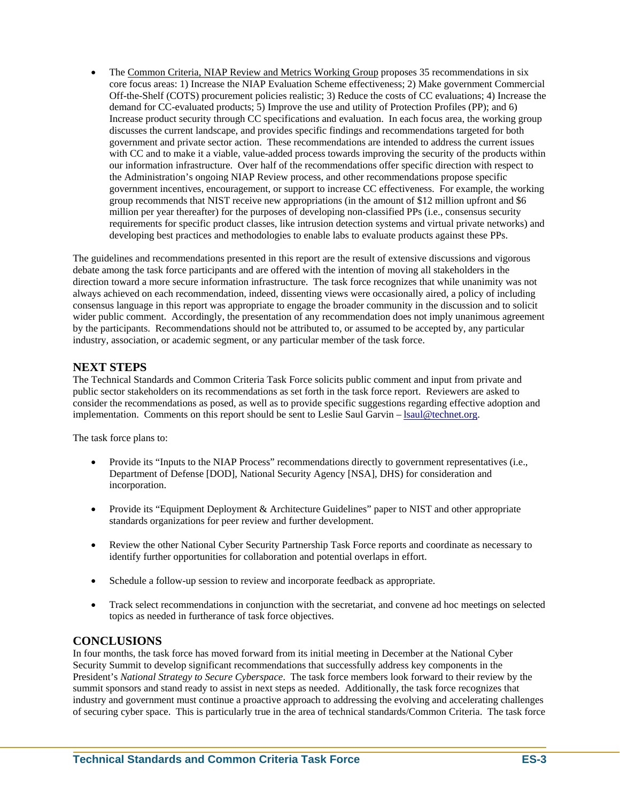• The Common Criteria, NIAP Review and Metrics Working Group proposes 35 recommendations in six core focus areas: 1) Increase the NIAP Evaluation Scheme effectiveness; 2) Make government Commercial Off-the-Shelf (COTS) procurement policies realistic; 3) Reduce the costs of CC evaluations; 4) Increase the demand for CC-evaluated products; 5) Improve the use and utility of Protection Profiles (PP); and 6) Increase product security through CC specifications and evaluation. In each focus area, the working group discusses the current landscape, and provides specific findings and recommendations targeted for both government and private sector action. These recommendations are intended to address the current issues with CC and to make it a viable, value-added process towards improving the security of the products within our information infrastructure. Over half of the recommendations offer specific direction with respect to the Administration's ongoing NIAP Review process, and other recommendations propose specific government incentives, encouragement, or support to increase CC effectiveness. For example, the working group recommends that NIST receive new appropriations (in the amount of \$12 million upfront and \$6 million per year thereafter) for the purposes of developing non-classified PPs (i.e., consensus security requirements for specific product classes, like intrusion detection systems and virtual private networks) and developing best practices and methodologies to enable labs to evaluate products against these PPs.

The guidelines and recommendations presented in this report are the result of extensive discussions and vigorous debate among the task force participants and are offered with the intention of moving all stakeholders in the direction toward a more secure information infrastructure. The task force recognizes that while unanimity was not always achieved on each recommendation, indeed, dissenting views were occasionally aired, a policy of including consensus language in this report was appropriate to engage the broader community in the discussion and to solicit wider public comment. Accordingly, the presentation of any recommendation does not imply unanimous agreement by the participants. Recommendations should not be attributed to, or assumed to be accepted by, any particular industry, association, or academic segment, or any particular member of the task force.

### **NEXT STEPS**

The Technical Standards and Common Criteria Task Force solicits public comment and input from private and public sector stakeholders on its recommendations as set forth in the task force report. Reviewers are asked to consider the recommendations as posed, as well as to provide specific suggestions regarding effective adoption and implementation. Comments on this report should be sent to Leslie Saul Garvin – [lsaul@technet.org.](mailto:lsaul@technet.org)

The task force plans to:

- Provide its "Inputs to the NIAP Process" recommendations directly to government representatives (i.e., Department of Defense [DOD], National Security Agency [NSA], DHS) for consideration and incorporation.
- Provide its "Equipment Deployment & Architecture Guidelines" paper to NIST and other appropriate standards organizations for peer review and further development.
- Review the other National Cyber Security Partnership Task Force reports and coordinate as necessary to identify further opportunities for collaboration and potential overlaps in effort.
- Schedule a follow-up session to review and incorporate feedback as appropriate.
- Track select recommendations in conjunction with the secretariat, and convene ad hoc meetings on selected topics as needed in furtherance of task force objectives.

### **CONCLUSIONS**

In four months, the task force has moved forward from its initial meeting in December at the National Cyber Security Summit to develop significant recommendations that successfully address key components in the President's *National Strategy to Secure Cyberspace*. The task force members look forward to their review by the summit sponsors and stand ready to assist in next steps as needed. Additionally, the task force recognizes that industry and government must continue a proactive approach to addressing the evolving and accelerating challenges of securing cyber space. This is particularly true in the area of technical standards/Common Criteria. The task force